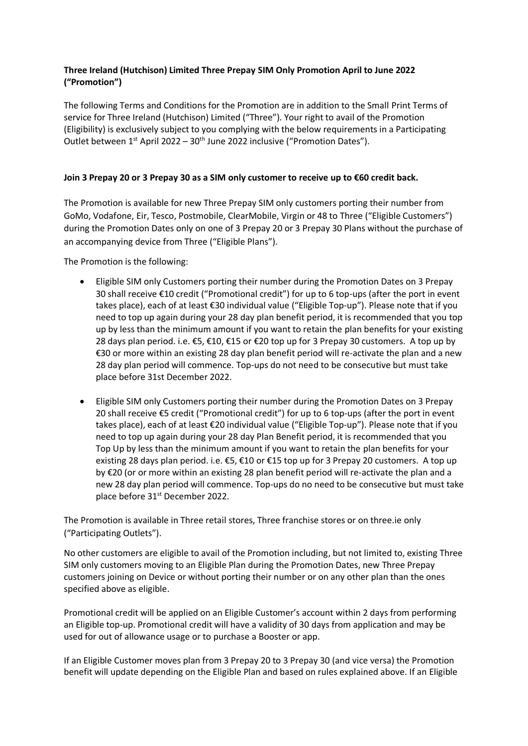## **Three Ireland (Hutchison) Limited Three Prepay SIM Only Promotion April to June 2022 ("Promotion")**

The following Terms and Conditions for the Promotion are in addition to the Small Print Terms of service for Three Ireland (Hutchison) Limited ("Three"). Your right to avail of the Promotion (Eligibility) is exclusively subject to you complying with the below requirements in a Participating Outlet between  $1^{st}$  April 2022 – 30<sup>th</sup> June 2022 inclusive ("Promotion Dates").

## **Join 3 Prepay 20 or 3 Prepay 30 as a SIM only customer to receive up to €60 credit back.**

The Promotion is available for new Three Prepay SIM only customers porting their number from GoMo, Vodafone, Eir, Tesco, Postmobile, ClearMobile, Virgin or 48 to Three ("Eligible Customers") during the Promotion Dates only on one of 3 Prepay 20 or 3 Prepay 30 Plans without the purchase of an accompanying device from Three ("Eligible Plans").

The Promotion is the following:

- Eligible SIM only Customers porting their number during the Promotion Dates on 3 Prepay 30 shall receive €10 credit ("Promotional credit") for up to 6 top-ups (after the port in event takes place), each of at least €30 individual value ("Eligible Top-up"). Please note that if you need to top up again during your 28 day plan benefit period, it is recommended that you top up by less than the minimum amount if you want to retain the plan benefits for your existing 28 days plan period. i.e. €5, €10, €15 or €20 top up for 3 Prepay 30 customers. A top up by €30 or more within an existing 28 day plan benefit period will re-activate the plan and a new 28 day plan period will commence. Top-ups do not need to be consecutive but must take place before 31st December 2022.
- Eligible SIM only Customers porting their number during the Promotion Dates on 3 Prepay 20 shall receive €5 credit ("Promotional credit") for up to 6 top-ups (after the port in event takes place), each of at least €20 individual value ("Eligible Top-up"). Please note that if you need to top up again during your 28 day Plan Benefit period, it is recommended that you Top Up by less than the minimum amount if you want to retain the plan benefits for your existing 28 days plan period. i.e. €5, €10 or €15 top up for 3 Prepay 20 customers. A top up by €20 (or or more within an existing 28 plan benefit period will re-activate the plan and a new 28 day plan period will commence. Top-ups do no need to be consecutive but must take place before 31st December 2022.

The Promotion is available in Three retail stores, Three franchise stores or on three.ie only ("Participating Outlets").

No other customers are eligible to avail of the Promotion including, but not limited to, existing Three SIM only customers moving to an Eligible Plan during the Promotion Dates, new Three Prepay customers joining on Device or without porting their number or on any other plan than the ones specified above as eligible.

Promotional credit will be applied on an Eligible Customer's account within 2 days from performing an Eligible top-up. Promotional credit will have a validity of 30 days from application and may be used for out of allowance usage or to purchase a Booster or app.

If an Eligible Customer moves plan from 3 Prepay 20 to 3 Prepay 30 (and vice versa) the Promotion benefit will update depending on the Eligible Plan and based on rules explained above. If an Eligible